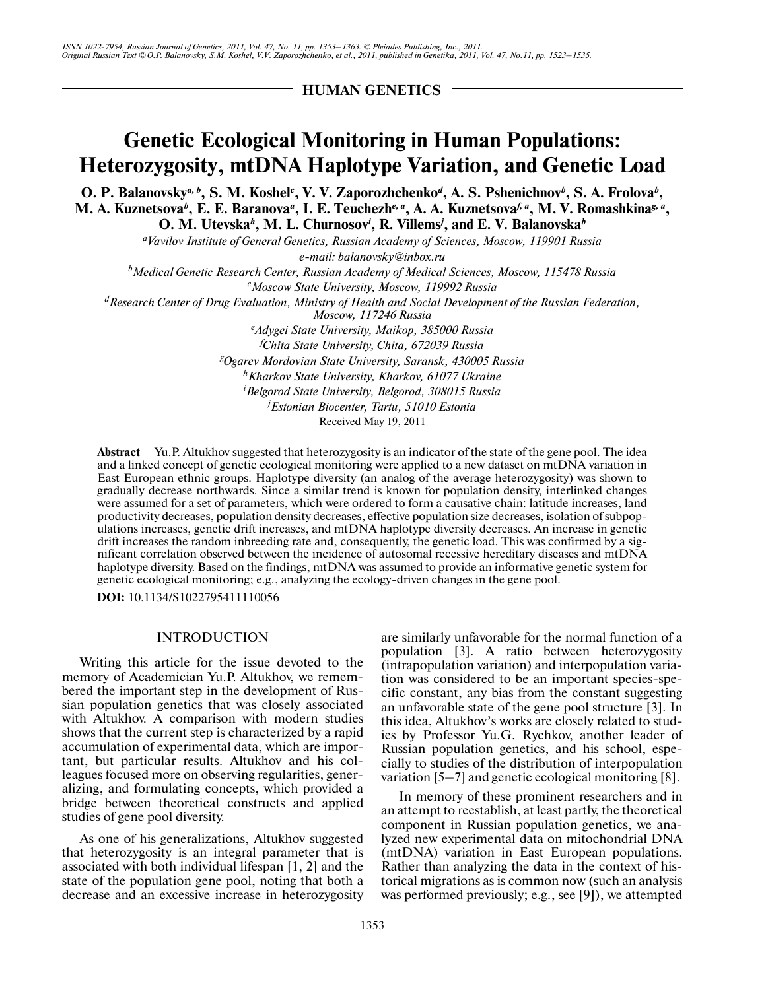*ISSN 1022-7954, Russian Journal of Genetics, 2011, Vol. 47, No. 11, pp. 1353–1363. © Pleiades Publishing, Inc., 2011. Original Russian Text © O.P. Balanovsky, S.M. Koshel, V.V. Zaporozhchenko, et al., 2011, published in Genetika, 2011, Vol. 47, No.11, pp. 1523–1535.*

**HUMAN GENETICS** 

# **Genetic Ecological Monitoring in Human Populations: Heterozygosity, mtDNA Haplotype Variation, and Genetic Load**

**O. P. Balanovsky***a, b***, S. M. Koshel***<sup>c</sup>* **, V. V. Zaporozhchenko***<sup>d</sup>* **, A. S. Pshenichnov***<sup>b</sup>* **, S. A. Frolova***<sup>b</sup>* **, M. A. Kuznetsova***<sup>b</sup>* **, E. E. Baranova***<sup>a</sup>* **, I. E. Teuchezh***e, a***, A. A. Kuznetsova***f, a***, M. V. Romashkina***g, a***, O. M. Utevska***<sup>h</sup>* **, M. L. Churnosov***<sup>i</sup>* **, R. Villems***<sup>j</sup>* **, and E. V. Balanovska***<sup>b</sup>*

*a Vavilov Institute of General Genetics, Russian Academy of Sciences, Moscow, 119901 Russia*

*e-mail: balanovsky@inbox.ru*

*b Medical Genetic Research Center, Russian Academy of Medical Sciences, Moscow, 115478 Russia*

*c Moscow State University, Moscow, 119992 Russia*

*d Research Center of Drug Evaluation, Ministry of Health and Social Development of the Russian Federation,*

*Moscow, 117246 Russia*

*e Adygei State University, Maikop, 385000 Russia*

*f Chita State University, Chita, 672039 Russia*

*g Ogarev Mordovian State University, Saransk, 430005 Russia*

*h Kharkov State University, Kharkov, 61077 Ukraine*

*i Belgorod State University, Belgorod, 308015 Russia*

*j Estonian Biocenter, Tartu, 51010 Estonia*

Received May 19, 2011

**Abstract**—Yu.P. Altukhov suggested that heterozygosity is an indicator of the state of the gene pool. The idea and a linked concept of genetic ecological monitoring were applied to a new dataset on mtDNA variation in East European ethnic groups. Haplotype diversity (an analog of the average heterozygosity) was shown to gradually decrease northwards. Since a similar trend is known for population density, interlinked changes were assumed for a set of parameters, which were ordered to form a causative chain: latitude increases, land productivity decreases, population density decreases, effective population size decreases, isolation of subpop ulations increases, genetic drift increases, and mtDNA haplotype diversity decreases. An increase in genetic drift increases the random inbreeding rate and, consequently, the genetic load. This was confirmed by a sig nificant correlation observed between the incidence of autosomal recessive hereditary diseases and mtDNA haplotype diversity. Based on the findings, mtDNA was assumed to provide an informative genetic system for genetic ecological monitoring; e.g., analyzing the ecology-driven changes in the gene pool.

**DOI:** 10.1134/S1022795411110056

# INTRODUCTION

Writing this article for the issue devoted to the memory of Academician Yu.P. Altukhov, we remem bered the important step in the development of Rus sian population genetics that was closely associated with Altukhov. A comparison with modern studies shows that the current step is characterized by a rapid accumulation of experimental data, which are impor tant, but particular results. Altukhov and his col leagues focused more on observing regularities, gener alizing, and formulating concepts, which provided a bridge between theoretical constructs and applied studies of gene pool diversity.

As one of his generalizations, Altukhov suggested that heterozygosity is an integral parameter that is associated with both individual lifespan [1, 2] and the state of the population gene pool, noting that both a decrease and an excessive increase in heterozygosity are similarly unfavorable for the normal function of a population [3]. A ratio between heterozygosity (intrapopulation variation) and interpopulation varia tion was considered to be an important species-spe cific constant, any bias from the constant suggesting an unfavorable state of the gene pool structure [3]. In this idea, Altukhov's works are closely related to stud ies by Professor Yu.G. Rychkov, another leader of Russian population genetics, and his school, espe cially to studies of the distribution of interpopulation variation [5–7] and genetic ecological monitoring [8].

In memory of these prominent researchers and in an attempt to reestablish, at least partly, the theoretical component in Russian population genetics, we ana lyzed new experimental data on mitochondrial DNA (mtDNA) variation in East European populations. Rather than analyzing the data in the context of his torical migrations as is common now (such an analysis was performed previously; e.g., see [9]), we attempted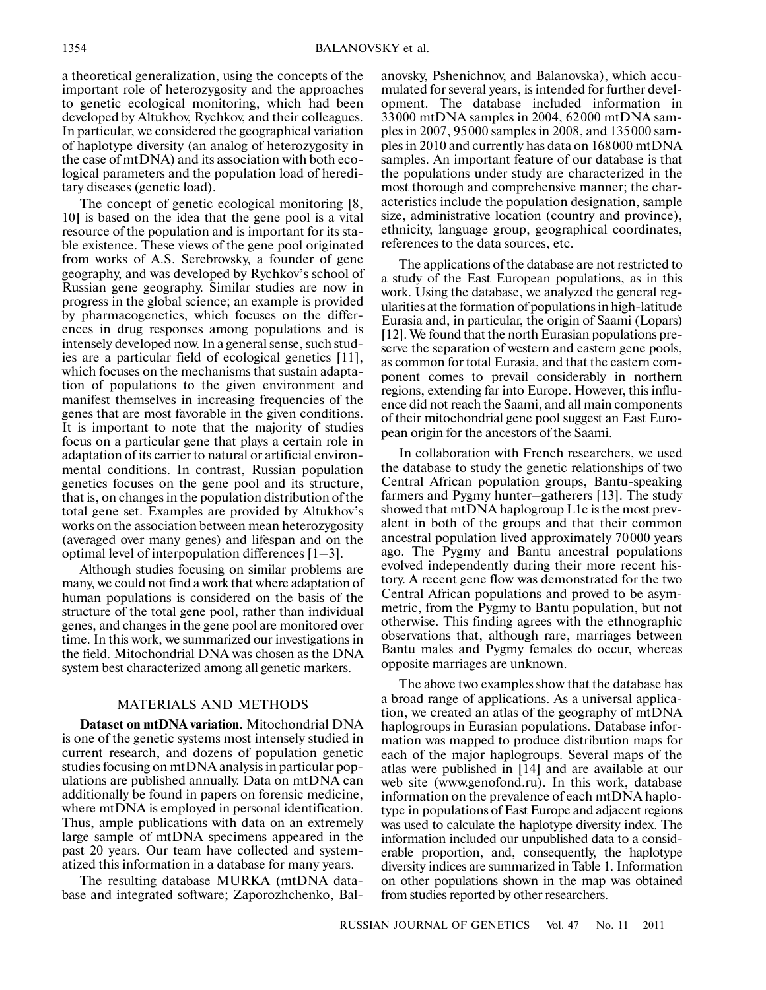a theoretical generalization, using the concepts of the important role of heterozygosity and the approaches to genetic ecological monitoring, which had been developed by Altukhov, Rychkov, and their colleagues. In particular, we considered the geographical variation of haplotype diversity (an analog of heterozygosity in the case of mtDNA) and its association with both eco logical parameters and the population load of heredi tary diseases (genetic load).

The concept of genetic ecological monitoring [8, 10] is based on the idea that the gene pool is a vital resource of the population and is important for its sta ble existence. These views of the gene pool originated from works of A.S. Serebrovsky, a founder of gene geography, and was developed by Rychkov's school of Russian gene geography. Similar studies are now in progress in the global science; an example is provided by pharmacogenetics, which focuses on the differ ences in drug responses among populations and is intensely developed now. In a general sense, such stud ies are a particular field of ecological genetics [11], which focuses on the mechanisms that sustain adapta tion of populations to the given environment and manifest themselves in increasing frequencies of the genes that are most favorable in the given conditions. It is important to note that the majority of studies focus on a particular gene that plays a certain role in adaptation of its carrier to natural or artificial environ mental conditions. In contrast, Russian population genetics focuses on the gene pool and its structure, that is, on changes in the population distribution of the total gene set. Examples are provided by Altukhov's works on the association between mean heterozygosity (averaged over many genes) and lifespan and on the optimal level of interpopulation differences [1–3].

Although studies focusing on similar problems are many, we could not find a work that where adaptation of human populations is considered on the basis of the structure of the total gene pool, rather than individual genes, and changes in the gene pool are monitored over time. In this work, we summarized our investigations in the field. Mitochondrial DNA was chosen as the DNA system best characterized among all genetic markers.

# MATERIALS AND METHODS

**Dataset on mtDNA variation.** Mitochondrial DNA is one of the genetic systems most intensely studied in current research, and dozens of population genetic studies focusing on mtDNA analysis in particular pop ulations are published annually. Data on mtDNA can additionally be found in papers on forensic medicine, where mtDNA is employed in personal identification. Thus, ample publications with data on an extremely large sample of mtDNA specimens appeared in the past 20 years. Our team have collected and system atized this information in a database for many years.

The resulting database MURKA (mtDNA data base and integrated software; Zaporozhchenko, Bal-

anovsky, Pshenichnov, and Balanovska), which accu mulated for several years, is intended for further devel opment. The database included information in 33000 mtDNA samples in 2004, 62000 mtDNA sam ples in 2007, 95000 samples in 2008, and 135000 sam ples in 2010 and currently has data on 168000 mtDNA samples. An important feature of our database is that the populations under study are characterized in the most thorough and comprehensive manner; the char acteristics include the population designation, sample size, administrative location (country and province), ethnicity, language group, geographical coordinates, references to the data sources, etc.

The applications of the database are not restricted to a study of the East European populations, as in this work. Using the database, we analyzed the general reg ularities at the formation of populations in high-latitude Eurasia and, in particular, the origin of Saami (Lopars) [12]. We found that the north Eurasian populations pre serve the separation of western and eastern gene pools, as common for total Eurasia, and that the eastern com ponent comes to prevail considerably in northern regions, extending far into Europe. However, this influ ence did not reach the Saami, and all main components of their mitochondrial gene pool suggest an East Euro pean origin for the ancestors of the Saami.

In collaboration with French researchers, we used the database to study the genetic relationships of two Central African population groups, Bantu-speaking farmers and Pygmy hunter–gatherers [13]. The study showed that mtDNA haplogroup L1c is the most prev alent in both of the groups and that their common ancestral population lived approximately 70000 years ago. The Pygmy and Bantu ancestral populations evolved independently during their more recent his tory. A recent gene flow was demonstrated for the two Central African populations and proved to be asymmetric, from the Pygmy to Bantu population, but not otherwise. This finding agrees with the ethnographic observations that, although rare, marriages between Bantu males and Pygmy females do occur, whereas opposite marriages are unknown.

The above two examples show that the database has a broad range of applications. As a universal applica tion, we created an atlas of the geography of mtDNA haplogroups in Eurasian populations. Database infor mation was mapped to produce distribution maps for each of the major haplogroups. Several maps of the atlas were published in [14] and are available at our web site (www.genofond.ru). In this work, database information on the prevalence of each mtDNA haplo type in populations of East Europe and adjacent regions was used to calculate the haplotype diversity index. The information included our unpublished data to a consid erable proportion, and, consequently, the haplotype diversity indices are summarized in Table 1. Information on other populations shown in the map was obtained from studies reported by other researchers.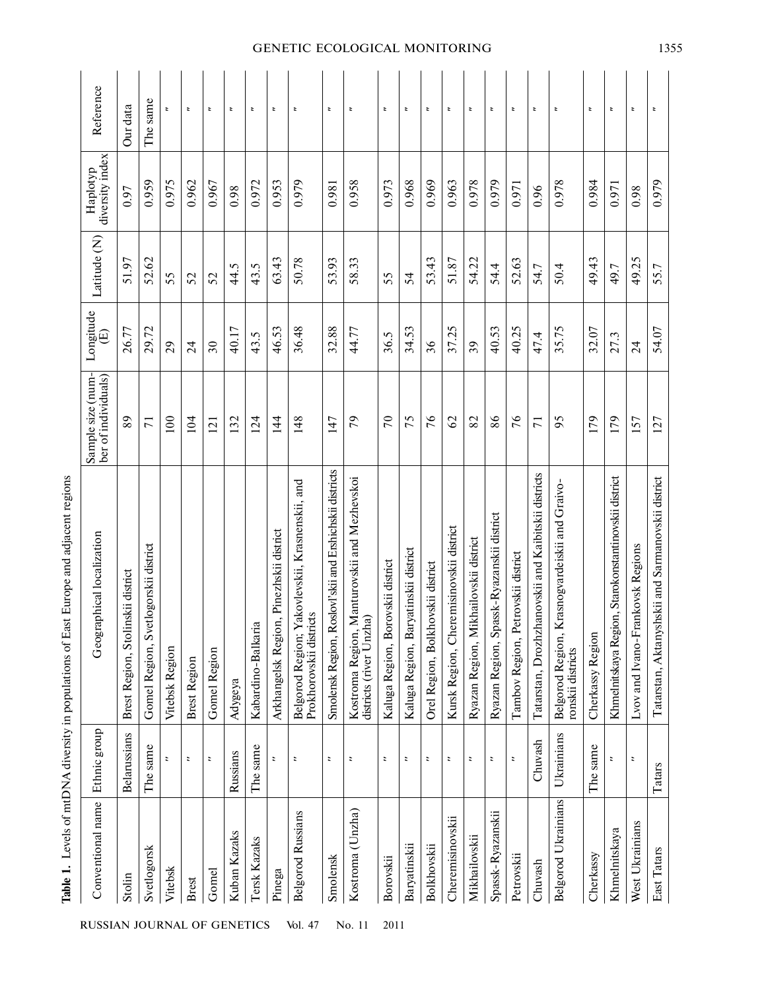| Conventional name          | Ethnic group             | Geographical localization                                                  | Sample size (num-<br>ber of individuals) | Longitude<br>⊕  | Latitude (N) | diversity index<br>Haplotyp | Reference                |
|----------------------------|--------------------------|----------------------------------------------------------------------------|------------------------------------------|-----------------|--------------|-----------------------------|--------------------------|
| Stolin                     | <b>Belarussians</b>      | Brest Region, Stolinskii district                                          | 89                                       | 26.77           | 51.97        | 0.97                        | Our data                 |
| Svetlogorsk                | The same                 | vetlogorskii district<br>Gomel Region, S                                   | $\overline{7}$                           | 29.72           | 52.62        | 0.959                       | The same                 |
| Vitebsk                    |                          | Vitebsk Region                                                             | 100                                      | 29              | 55           | 0.975                       | z                        |
| Brest                      | $\ddot{ }$               | <b>Brest Region</b>                                                        | 104                                      | $\overline{24}$ | 52           | 0.962                       | $\overline{\phantom{a}}$ |
| Gomel                      | $\overline{\phantom{a}}$ | <b>Gomel Region</b>                                                        | 121                                      | $30\,$          | 52           | 0.967                       | z                        |
| Kuban Kazaks               | Russians                 | Adygeya                                                                    | 132                                      | 40.17           | 44.5         | 0.98                        | $\overline{\phantom{a}}$ |
| Tersk Kazaks               | The same                 | Kabardino-Balkaria                                                         | 124                                      | 43.5            | 43.5         | 0.972                       | $\overline{\phantom{a}}$ |
| Pinega                     | $\overline{\phantom{a}}$ | on, Pinezhskii district<br>Arkhangelsk Regi                                | $\frac{4}{4}$                            | 46.53           | 63.43        | 0.953                       | $\ddot{ }$               |
| <b>Belgorod Russians</b>   | $\overline{\phantom{a}}$ | Belgorod Region; Yakovlevskii, Krasnenskii, and<br>Prokhorovskii districts | 148                                      | 36.48           | 50.78        | 0.979                       | $\overline{\phantom{a}}$ |
| Smolensk                   | $\overline{\phantom{a}}$ | Roslovl'skii and Ershichskii districts<br>Smolensk Region,                 | 147                                      | 32.88           | 53.93        | 0.981                       | ż                        |
| Kostroma (Unzha)           | $\overline{\phantom{a}}$ | Kostroma Region, Manturovskii and Mezhevskoi<br>districts (river Unzha)    | 79                                       | 44.77           | 58.33        | 0.958                       | t                        |
| Borovskii                  | $\ddot{\phantom{0}}$     | Kaluga Region, Borovskii district                                          | $\mathcal{L}$                            | 36.5            | 55           | 0.973                       | $\ddot{ }$               |
| Baryatinskii               | $\overline{\phantom{a}}$ | Kaluga Region, Baryatinskii district                                       | 75                                       | 34.53           | 54           | 0.968                       | $\overline{\phantom{a}}$ |
| <b>Bolkhovskii</b>         | $\overline{\phantom{a}}$ | Orel Region, Bolkhovskii district                                          | 76                                       | 36              | 53.43        | 0.969                       | t                        |
| Cheremisinovskii           | $\ddot{\,}$              | Kursk Region, Cheremisinovskii district                                    | $\mathcal{S}$                            | 37.25           | 51.87        | 0.963                       | $\overline{\phantom{a}}$ |
| Mikhailovskii              | $\ddot{\phantom{a}}$     | Ryazan Region, Mikhailovskii district                                      | 82                                       | 39              | 54.22        | 0.978                       | $\overline{\phantom{a}}$ |
| Spassk-Ryazanskii          | $\ddot{\,}$              | Ryazan Region, Spassk-Ryazanskii district                                  | 86                                       | 40.53           | 54.4         | 0.979                       | z                        |
| Petrovskii                 | $\overline{\phantom{a}}$ | Petrovskii district<br>Tambov Region,                                      | 76                                       | 40.25           | 52.63        | 0.971                       | z                        |
| Chuvash                    | Chuvash                  | Tatarstan, Drozhzhanovskii and Kaibitskii districts                        | $\overline{71}$                          | 47.4            | 54.7         | 0.96                        | ÷                        |
| <b>Belgorod Ukrainians</b> | Ukrainians               | Krasnogvardeiskii and Graivo-<br>Belgorod Region,<br>ronskii districts     | 95                                       | 35.75           | 50.4         | 0.978                       | $\overline{\phantom{a}}$ |
| Cherkassy                  | The same                 | Cherkassy Region                                                           | 179                                      | 32.07           | 49.43        | 0.984                       | $\overline{\phantom{a}}$ |
| Khmelnitskaya              | ż                        | Khmelnitskaya Region, Starokonstantinovskii district                       | 179                                      | 27.3            | 49.7         | 0.971                       | z                        |
| West Ukrainians            | $\ddot{\phantom{a}}$     | rankovsk Regions<br>Lvov and Ivano-F                                       | 157                                      | $\overline{24}$ | 49.25        | 0.98                        | $\overline{\phantom{a}}$ |
| East Tatars                | Tatars                   | Tatarstan, Aktanyshskii and Sarmanovskii district                          | 127                                      | 54.07           | 55.7         | 0.979                       | ż                        |

# Table 1. Levels of mtDNA diversity in populations of East Europe and adjacent regions **Table 1.** Levels of mtDNA diversity in populations of East Europe and adjacent regions

RUSSIAN JOURNAL OF GENETICS Vol. 47 No. 11 2011

# GENETIC ECOLOGICAL MONITORING 1355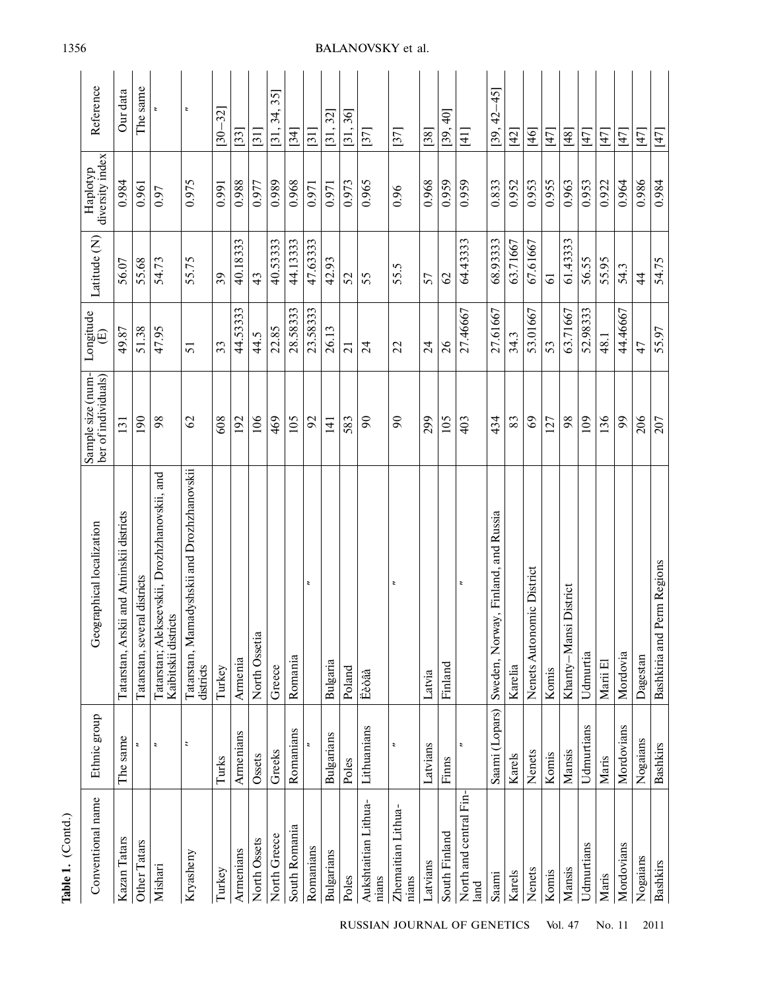| $Table 1. (Countu.)$           |                          |                                                                       |                                          |                              |                |                             |                                    |
|--------------------------------|--------------------------|-----------------------------------------------------------------------|------------------------------------------|------------------------------|----------------|-----------------------------|------------------------------------|
| Conventional name              | Ethnic group             | Geographical localization                                             | Sample size (num-<br>ber of individuals) | Longitude<br>$\widehat{\Xi}$ | Latitude (N)   | diversity index<br>Haplotyp | Reference                          |
| Kazan Tatars                   | The same                 | Tatarstan, Arskii and Atninskii districts                             | 131                                      | 49.87                        | 56.07          | 0.984                       | Our data                           |
| Other Tatars                   | $\overline{\phantom{a}}$ | Tatarstan, several districts                                          | 190                                      | 51.38                        | 55.68          | 0.961                       | The same                           |
| Mishari                        | $\boldsymbol{z}$         | Tatarstan; Alekseevskii, Drozhzhanovskii, and<br>Kaibitskii districts | 98                                       | 47.95                        | 54.73          | 0.97                        |                                    |
| Kryasheny                      | $\overline{\phantom{a}}$ | Tatarstan, Mamadyshskii and Drozhzhanovskii<br>districts              | $\mathcal{O}$                            | 51                           | 55.75          | 0.975                       | z,                                 |
| Turkey                         | Turks                    | Turkey                                                                | 608                                      | 33                           | 39             | 0.991                       | $\overline{32}$<br>$\overline{30}$ |
| Armenians                      | Armenians                | Armenia                                                               | 192                                      | 44.53333                     | 40.18333       | 0.988                       | $\left[33\right]$                  |
| North Ossets                   | Ossets                   | North Ossetia                                                         | 106                                      | 44.5                         | 43             | 0.977                       | $\overline{31}$                    |
| North Greece                   | Greeks                   | Greece                                                                | 469                                      | 22.85                        | 40.53333       | 0.989                       | 35]<br>34,<br>[31,                 |
| South Romania                  | Romanians                | Romania                                                               | 105                                      | 28.58333                     | 44.13333       | 0.968                       | [34]                               |
| Romanians                      | $\ddot{\phantom{a}}$     | $\overline{\phantom{a}}$                                              | 92                                       | 23.58333                     | 47.63333       | 0.971                       | [31]                               |
| <b>Bulgarians</b>              | <b>Bulgarians</b>        | Bulgaria                                                              | 141                                      | 26.13                        | 42.93          | 0.971                       | [31, 32]                           |
| Poles                          | Poles                    | Poland                                                                | 583                                      | $\overline{21}$              | 52             | 0.973                       | [31, 36]                           |
| Aukshtaitian Lithua-<br>nians  | Lithuanians              | Eèòâà                                                                 | $\infty$                                 | $\overline{24}$              | 55             | 0.965                       | [37]                               |
| Zhemaitian Lithua-<br>nians    |                          | ÷                                                                     | $\infty$                                 | 22                           | 55.5           | 0.96                        | $[37]$                             |
| Latvians                       | Latvians                 | Latvia                                                                | 299                                      | $\overline{24}$              | 57             | 0.968                       | $[38]$                             |
| South Finland                  | Finns                    | Finland                                                               | 105                                      | $\delta$                     | 62             | 0.959                       | $\dot{=}$<br>[39,                  |
| North and central Fin-<br>land | ÷,                       | $\overline{\phantom{a}}$                                              | 403                                      | 27.46667                     | 64.43333       | 0.959                       | $\frac{11}{11}$                    |
| Saami                          | Saami (Lopars)           | Sweden, Norway, Finland, and Russia                                   | 434                                      | 27.61667                     | 68.93333       | 0.833                       | $-45$<br>$\overline{4}$<br>[39,    |
| Karels                         | Karels                   | Karelia                                                               | 83                                       | 34.3                         | 63.71667       | 0.952                       | $[42]$                             |
| Nenets                         | Nenets                   | Nenets Autonomic District                                             | 69                                       | 53.01667                     | 67.61667       | 0.953                       | $[46]$                             |
| Komis                          | Komis                    | Komis                                                                 | 127                                      | 53                           | $\overline{6}$ | 0.955                       | [47]                               |
| Mansis                         | Mansis                   | District<br>Khanty-Mansi                                              | 98                                       | 63.71667                     | 61.43333       | 0.963                       | [48]                               |
| Udmurtians                     | Udmurtians               | Udmurtia                                                              | 109                                      | 52.98333                     | 56.55          | 0.953                       | $[47]$                             |
| Maris                          | Maris                    | Marii El                                                              | 136                                      | 48.1                         | 55.95          | 0.922                       | [47]                               |
| Mordovians                     | Mordovians               | Mordovia                                                              | 99                                       | 44.46667                     | 54.3           | 0.964                       | [47]                               |
| Nogaians                       | Nogaians                 | Dagestan                                                              | 206                                      | 47                           | $\overline{4}$ | 0.986                       | $[47]$                             |
| <b>Bashkirs</b>                | <b>Bashkirs</b>          | Bashkiria and Perm Regions                                            | 207                                      | 55.97                        | 54.75          | 0.984                       | $[47]$                             |

1356

**Table 1.** (Contd.)

Table 1. (Contd.)

BALANOVSKY et al.

RUSSIAN JOURNAL OF GENETICS Vol. 47 No. 11 2011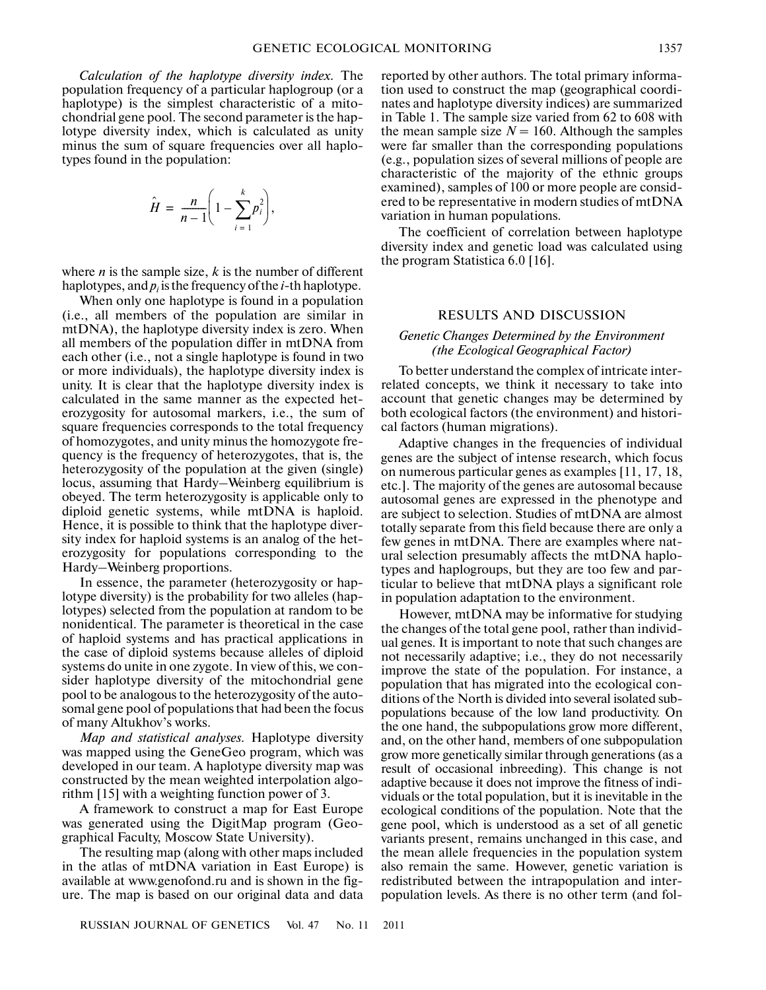*Calculation of the haplotype diversity index.* The population frequency of a particular haplogroup (or a haplotype) is the simplest characteristic of a mito chondrial gene pool. The second parameter is the hap lotype diversity index, which is calculated as unity minus the sum of square frequencies over all haplo types found in the population:

$$
\hat{H} = \frac{n}{n-1} \bigg( 1 - \sum_{i=1}^k p_i^2 \bigg),
$$

where *n* is the sample size, *k* is the number of different haplotypes, and  $p_i$  is the frequency of the *i*-th haplotype.

When only one haplotype is found in a population (i.e., all members of the population are similar in mtDNA), the haplotype diversity index is zero. When all members of the population differ in mtDNA from each other (i.e., not a single haplotype is found in two or more individuals), the haplotype diversity index is unity. It is clear that the haplotype diversity index is calculated in the same manner as the expected het erozygosity for autosomal markers, i.e., the sum of square frequencies corresponds to the total frequency of homozygotes, and unity minus the homozygote fre quency is the frequency of heterozygotes, that is, the heterozygosity of the population at the given (single) locus, assuming that Hardy–Weinberg equilibrium is obeyed. The term heterozygosity is applicable only to diploid genetic systems, while mtDNA is haploid. Hence, it is possible to think that the haplotype diver sity index for haploid systems is an analog of the het erozygosity for populations corresponding to the Hardy–Weinberg proportions.

In essence, the parameter (heterozygosity or hap lotype diversity) is the probability for two alleles (hap lotypes) selected from the population at random to be nonidentical. The parameter is theoretical in the case of haploid systems and has practical applications in the case of diploid systems because alleles of diploid systems do unite in one zygote. In view of this, we con sider haplotype diversity of the mitochondrial gene pool to be analogous to the heterozygosity of the auto somal gene pool of populations that had been the focus of many Altukhov's works.

*Map and statistical analyses.* Haplotype diversity was mapped using the GeneGeo program, which was developed in our team. A haplotype diversity map was constructed by the mean weighted interpolation algo rithm [15] with a weighting function power of 3.

A framework to construct a map for East Europe was generated using the DigitMap program (Geo graphical Faculty, Moscow State University).

The resulting map (along with other maps included in the atlas of mtDNA variation in East Europe) is available at www.genofond.ru and is shown in the fig ure. The map is based on our original data and data

reported by other authors. The total primary informa tion used to construct the map (geographical coordi nates and haplotype diversity indices) are summarized in Table 1. The sample size varied from 62 to 608 with the mean sample size  $N = 160$ . Although the samples were far smaller than the corresponding populations (e.g., population sizes of several millions of people are characteristic of the majority of the ethnic groups examined), samples of 100 or more people are consid ered to be representative in modern studies of mtDNA variation in human populations.

The coefficient of correlation between haplotype diversity index and genetic load was calculated using the program Statistica 6.0 [16].

# RESULTS AND DISCUSSION

# *Genetic Changes Determined by the Environment (the Ecological Geographical Factor)*

To better understand the complex of intricate inter related concepts, we think it necessary to take into account that genetic changes may be determined by both ecological factors (the environment) and histori cal factors (human migrations).

Adaptive changes in the frequencies of individual genes are the subject of intense research, which focus on numerous particular genes as examples [11, 17, 18, etc.]. The majority of the genes are autosomal because autosomal genes are expressed in the phenotype and are subject to selection. Studies of mtDNA are almost totally separate from this field because there are only a few genes in mtDNA. There are examples where nat ural selection presumably affects the mtDNA haplo types and haplogroups, but they are too few and par ticular to believe that mtDNA plays a significant role in population adaptation to the environment.

However, mtDNA may be informative for studying the changes of the total gene pool, rather than individ ual genes. It is important to note that such changes are not necessarily adaptive; i.e., they do not necessarily improve the state of the population. For instance, a population that has migrated into the ecological con ditions of the North is divided into several isolated sub populations because of the low land productivity. On the one hand, the subpopulations grow more different, and, on the other hand, members of one subpopulation grow more genetically similar through generations (as a result of occasional inbreeding). This change is not adaptive because it does not improve the fitness of indi viduals or the total population, but it is inevitable in the ecological conditions of the population. Note that the gene pool, which is understood as a set of all genetic variants present, remains unchanged in this case, and the mean allele frequencies in the population system also remain the same. However, genetic variation is redistributed between the intrapopulation and inter population levels. As there is no other term (and fol-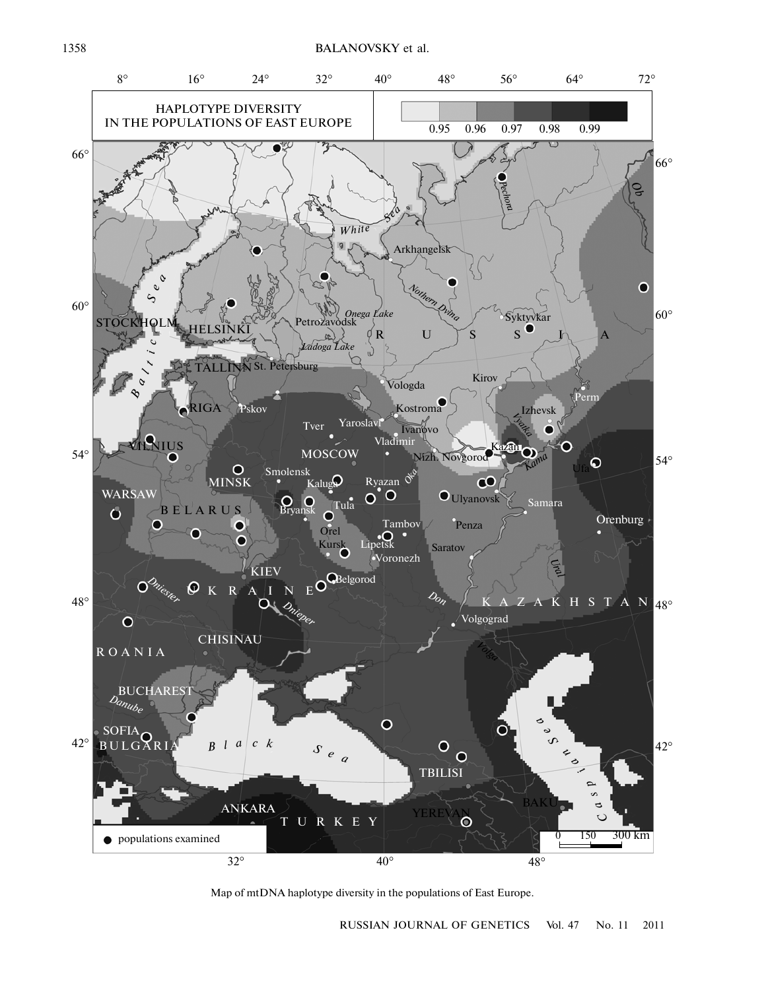

Map of mtDNA haplotype diversity in the populations of East Europe.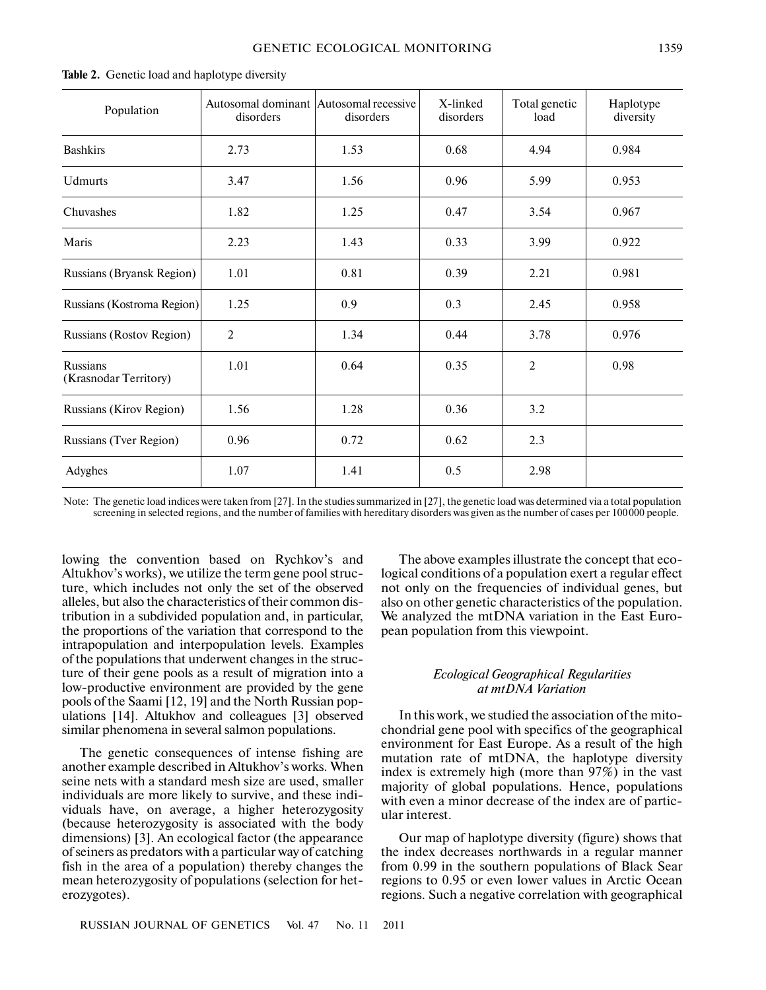| Population                        | Autosomal dominant Autosomal recessive<br>disorders | disorders | X-linked<br>disorders | Total genetic<br>load | Haplotype<br>diversity |
|-----------------------------------|-----------------------------------------------------|-----------|-----------------------|-----------------------|------------------------|
| <b>Bashkirs</b>                   | 2.73                                                | 1.53      | 0.68                  | 4.94                  | 0.984                  |
| <b>Udmurts</b>                    | 3.47                                                | 1.56      | 0.96                  | 5.99                  | 0.953                  |
| Chuvashes                         | 1.82                                                | 1.25      | 0.47                  | 3.54                  | 0.967                  |
| Maris                             | 2.23                                                | 1.43      | 0.33                  | 3.99                  | 0.922                  |
| <b>Russians (Bryansk Region)</b>  | 1.01                                                | 0.81      | 0.39                  | 2.21                  | 0.981                  |
| Russians (Kostroma Region)        | 1.25                                                | 0.9       | 0.3                   | 2.45                  | 0.958                  |
| Russians (Rostov Region)          | $\overline{2}$                                      | 1.34      | 0.44                  | 3.78                  | 0.976                  |
| Russians<br>(Krasnodar Territory) | 1.01                                                | 0.64      | 0.35                  | $\overline{2}$        | 0.98                   |
| Russians (Kirov Region)           | 1.56                                                | 1.28      | 0.36                  | 3.2                   |                        |
| Russians (Tver Region)            | 0.96                                                | 0.72      | 0.62                  | 2.3                   |                        |
| Adyghes                           | 1.07                                                | 1.41      | 0.5                   | 2.98                  |                        |

#### **Table 2.** Genetic load and haplotype diversity

Note: The genetic load indices were taken from [27]. In the studies summarized in [27], the genetic load was determined via a total population screening in selected regions, and the number of families with hereditary disorders was given as the number of cases per 100000 people.

lowing the convention based on Rychkov's and Altukhov's works), we utilize the term gene pool struc ture, which includes not only the set of the observed alleles, but also the characteristics of their common dis tribution in a subdivided population and, in particular, the proportions of the variation that correspond to the intrapopulation and interpopulation levels. Examples of the populations that underwent changes in the struc ture of their gene pools as a result of migration into a low-productive environment are provided by the gene pools of the Saami [12, 19] and the North Russian pop ulations [14]. Altukhov and colleagues [3] observed similar phenomena in several salmon populations.

The genetic consequences of intense fishing are another example described in Altukhov's works. When seine nets with a standard mesh size are used, smaller individuals are more likely to survive, and these indi viduals have, on average, a higher heterozygosity (because heterozygosity is associated with the body dimensions) [3]. An ecological factor (the appearance of seiners as predators with a particular way of catching fish in the area of a population) thereby changes the mean heterozygosity of populations (selection for het erozygotes).

The above examples illustrate the concept that eco logical conditions of a population exert a regular effect not only on the frequencies of individual genes, but also on other genetic characteristics of the population. We analyzed the mtDNA variation in the East Euro pean population from this viewpoint.

# *Ecological Geographical Regularities at mtDNA Variation*

In this work, we studied the association of the mito chondrial gene pool with specifics of the geographical environment for East Europe. As a result of the high mutation rate of mtDNA, the haplotype diversity index is extremely high (more than 97%) in the vast majority of global populations. Hence, populations with even a minor decrease of the index are of partic ular interest.

Our map of haplotype diversity (figure) shows that the index decreases northwards in a regular manner from 0.99 in the southern populations of Black Sear regions to 0.95 or even lower values in Arctic Ocean regions. Such a negative correlation with geographical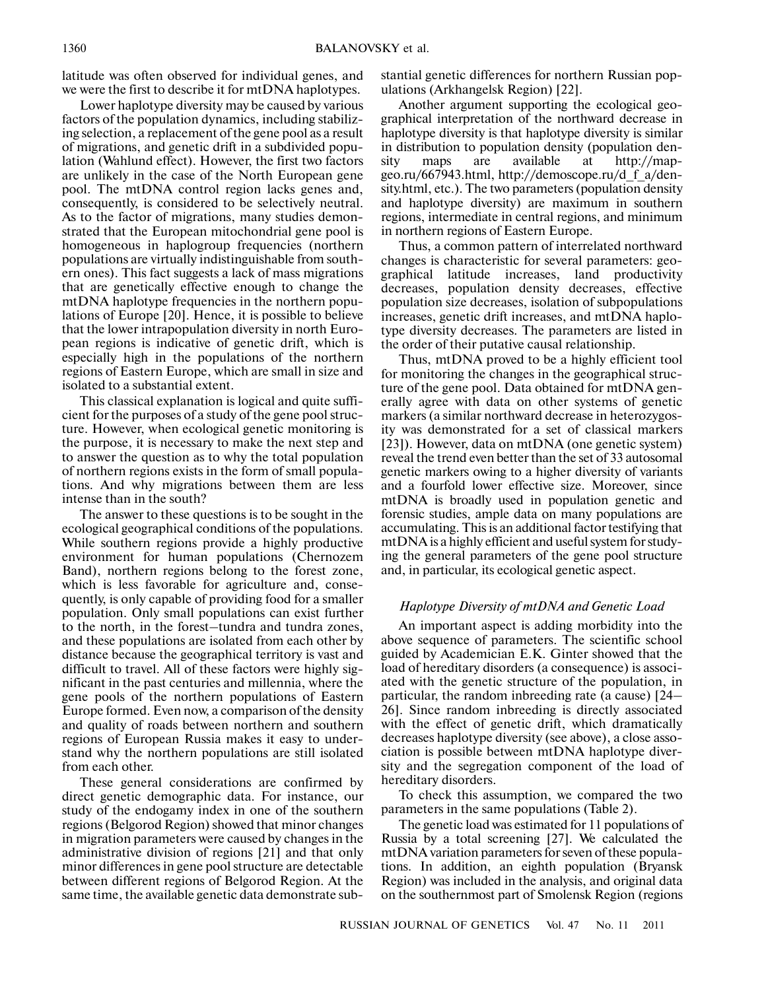latitude was often observed for individual genes, and we were the first to describe it for mtDNA haplotypes.

Lower haplotype diversity may be caused by various factors of the population dynamics, including stabiliz ing selection, a replacement of the gene pool as a result of migrations, and genetic drift in a subdivided popu lation (Wahlund effect). However, the first two factors are unlikely in the case of the North European gene pool. The mtDNA control region lacks genes and, consequently, is considered to be selectively neutral. As to the factor of migrations, many studies demon strated that the European mitochondrial gene pool is homogeneous in haplogroup frequencies (northern populations are virtually indistinguishable from south ern ones). This fact suggests a lack of mass migrations that are genetically effective enough to change the mtDNA haplotype frequencies in the northern popu lations of Europe [20]. Hence, it is possible to believe that the lower intrapopulation diversity in north Euro pean regions is indicative of genetic drift, which is especially high in the populations of the northern regions of Eastern Europe, which are small in size and isolated to a substantial extent.

This classical explanation is logical and quite suffi cient for the purposes of a study of the gene pool struc ture. However, when ecological genetic monitoring is the purpose, it is necessary to make the next step and to answer the question as to why the total population of northern regions exists in the form of small popula tions. And why migrations between them are less intense than in the south?

The answer to these questions is to be sought in the ecological geographical conditions of the populations. While southern regions provide a highly productive environment for human populations (Chernozem Band), northern regions belong to the forest zone, which is less favorable for agriculture and, conse quently, is only capable of providing food for a smaller population. Only small populations can exist further to the north, in the forest–tundra and tundra zones, and these populations are isolated from each other by distance because the geographical territory is vast and difficult to travel. All of these factors were highly sig nificant in the past centuries and millennia, where the gene pools of the northern populations of Eastern Europe formed. Even now, a comparison of the density and quality of roads between northern and southern regions of European Russia makes it easy to under stand why the northern populations are still isolated from each other.

These general considerations are confirmed by direct genetic demographic data. For instance, our study of the endogamy index in one of the southern regions (Belgorod Region) showed that minor changes in migration parameters were caused by changes in the administrative division of regions [21] and that only minor differences in gene pool structure are detectable between different regions of Belgorod Region. At the same time, the available genetic data demonstrate sub-

stantial genetic differences for northern Russian pop ulations (Arkhangelsk Region) [22].

Another argument supporting the ecological geo graphical interpretation of the northward decrease in haplotype diversity is that haplotype diversity is similar in distribution to population density (population den sity maps are available at http://map geo.ru/667943.html, http://demoscope.ru/d\_f\_a/den sity.html, etc.). The two parameters (population density and haplotype diversity) are maximum in southern regions, intermediate in central regions, and minimum in northern regions of Eastern Europe.

Thus, a common pattern of interrelated northward changes is characteristic for several parameters: geo graphical latitude increases, land productivity decreases, population density decreases, effective population size decreases, isolation of subpopulations increases, genetic drift increases, and mtDNA haplo type diversity decreases. The parameters are listed in the order of their putative causal relationship.

Thus, mtDNA proved to be a highly efficient tool for monitoring the changes in the geographical struc ture of the gene pool. Data obtained for mtDNA gen erally agree with data on other systems of genetic markers (a similar northward decrease in heterozygos ity was demonstrated for a set of classical markers [23]). However, data on mtDNA (one genetic system) reveal the trend even better than the set of 33 autosomal genetic markers owing to a higher diversity of variants and a fourfold lower effective size. Moreover, since mtDNA is broadly used in population genetic and forensic studies, ample data on many populations are accumulating. This is an additional factor testifying that mtDNA is a highly efficient and useful system for study ing the general parameters of the gene pool structure and, in particular, its ecological genetic aspect.

## *Haplotype Diversity of mtDNA and Genetic Load*

An important aspect is adding morbidity into the above sequence of parameters. The scientific school guided by Academician E.K. Ginter showed that the load of hereditary disorders (a consequence) is associ ated with the genetic structure of the population, in particular, the random inbreeding rate (a cause) [24– 26]. Since random inbreeding is directly associated with the effect of genetic drift, which dramatically decreases haplotype diversity (see above), a close asso ciation is possible between mtDNA haplotype diver sity and the segregation component of the load of hereditary disorders.

To check this assumption, we compared the two parameters in the same populations (Table 2).

The genetic load was estimated for 11 populations of Russia by a total screening [27]. We calculated the mtDNA variation parameters for seven of these popula tions. In addition, an eighth population (Bryansk Region) was included in the analysis, and original data on the southernmost part of Smolensk Region (regions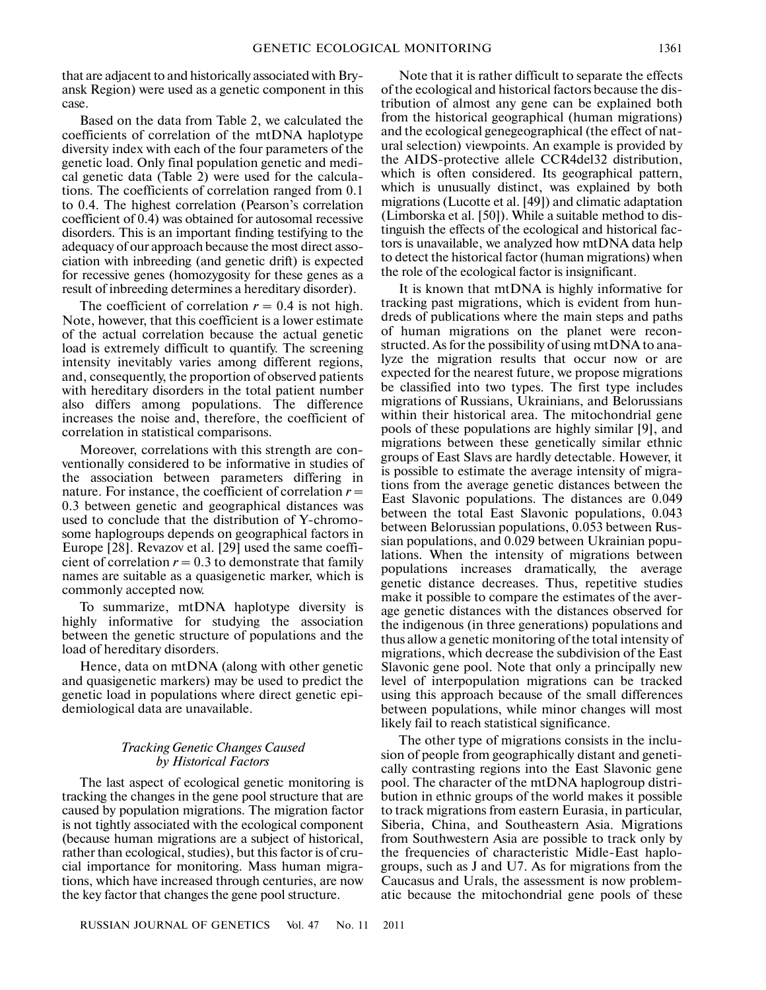that are adjacent to and historically associated with Bry ansk Region) were used as a genetic component in this case.

Based on the data from Table 2, we calculated the coefficients of correlation of the mtDNA haplotype diversity index with each of the four parameters of the genetic load. Only final population genetic and medi cal genetic data (Table 2) were used for the calcula tions. The coefficients of correlation ranged from 0.1 to 0.4. The highest correlation (Pearson's correlation coefficient of 0.4) was obtained for autosomal recessive disorders. This is an important finding testifying to the adequacy of our approach because the most direct asso ciation with inbreeding (and genetic drift) is expected for recessive genes (homozygosity for these genes as a result of inbreeding determines a hereditary disorder).

The coefficient of correlation  $r = 0.4$  is not high. Note, however, that this coefficient is a lower estimate of the actual correlation because the actual genetic load is extremely difficult to quantify. The screening intensity inevitably varies among different regions, and, consequently, the proportion of observed patients with hereditary disorders in the total patient number also differs among populations. The difference increases the noise and, therefore, the coefficient of correlation in statistical comparisons.

Moreover, correlations with this strength are con ventionally considered to be informative in studies of the association between parameters differing in nature. For instance, the coefficient of correlation  $r =$ 0.3 between genetic and geographical distances was used to conclude that the distribution of Y-chromo some haplogroups depends on geographical factors in Europe [28]. Revazov et al. [29] used the same coeffi cient of correlation  $r = 0.3$  to demonstrate that family names are suitable as a quasigenetic marker, which is commonly accepted now.

To summarize, mtDNA haplotype diversity is highly informative for studying the association between the genetic structure of populations and the load of hereditary disorders.

Hence, data on mtDNA (along with other genetic and quasigenetic markers) may be used to predict the genetic load in populations where direct genetic epi demiological data are unavailable.

# *Tracking Genetic Changes Caused by Historical Factors*

The last aspect of ecological genetic monitoring is tracking the changes in the gene pool structure that are caused by population migrations. The migration factor is not tightly associated with the ecological component (because human migrations are a subject of historical, rather than ecological, studies), but this factor is of cru cial importance for monitoring. Mass human migra tions, which have increased through centuries, are now the key factor that changes the gene pool structure.

Note that it is rather difficult to separate the effects of the ecological and historical factors because the dis tribution of almost any gene can be explained both from the historical geographical (human migrations) and the ecological genegeographical (the effect of nat ural selection) viewpoints. An example is provided by the AIDS-protective allele CCR4del32 distribution, which is often considered. Its geographical pattern, which is unusually distinct, was explained by both migrations (Lucotte et al. [49]) and climatic adaptation (Limborska et al. [50]). While a suitable method to dis tinguish the effects of the ecological and historical fac tors is unavailable, we analyzed how mtDNA data help to detect the historical factor (human migrations) when the role of the ecological factor is insignificant.

It is known that mtDNA is highly informative for tracking past migrations, which is evident from hun dreds of publications where the main steps and paths of human migrations on the planet were recon structed. As for the possibility of using mtDNA to ana lyze the migration results that occur now or are expected for the nearest future, we propose migrations be classified into two types. The first type includes migrations of Russians, Ukrainians, and Belorussians within their historical area. The mitochondrial gene pools of these populations are highly similar [9], and migrations between these genetically similar ethnic groups of East Slavs are hardly detectable. However, it is possible to estimate the average intensity of migra tions from the average genetic distances between the East Slavonic populations. The distances are 0.049 between the total East Slavonic populations, 0.043 between Belorussian populations, 0.053 between Rus sian populations, and 0.029 between Ukrainian popu lations. When the intensity of migrations between populations increases dramatically, the average genetic distance decreases. Thus, repetitive studies make it possible to compare the estimates of the aver age genetic distances with the distances observed for the indigenous (in three generations) populations and thus allow a genetic monitoring of the total intensity of migrations, which decrease the subdivision of the East Slavonic gene pool. Note that only a principally new level of interpopulation migrations can be tracked using this approach because of the small differences between populations, while minor changes will most likely fail to reach statistical significance.

The other type of migrations consists in the inclu sion of people from geographically distant and geneti cally contrasting regions into the East Slavonic gene pool. The character of the mtDNA haplogroup distri bution in ethnic groups of the world makes it possible to track migrations from eastern Eurasia, in particular, Siberia, China, and Southeastern Asia. Migrations from Southwestern Asia are possible to track only by the frequencies of characteristic Midle-East haplo groups, such as J and U7. As for migrations from the Caucasus and Urals, the assessment is now problem atic because the mitochondrial gene pools of these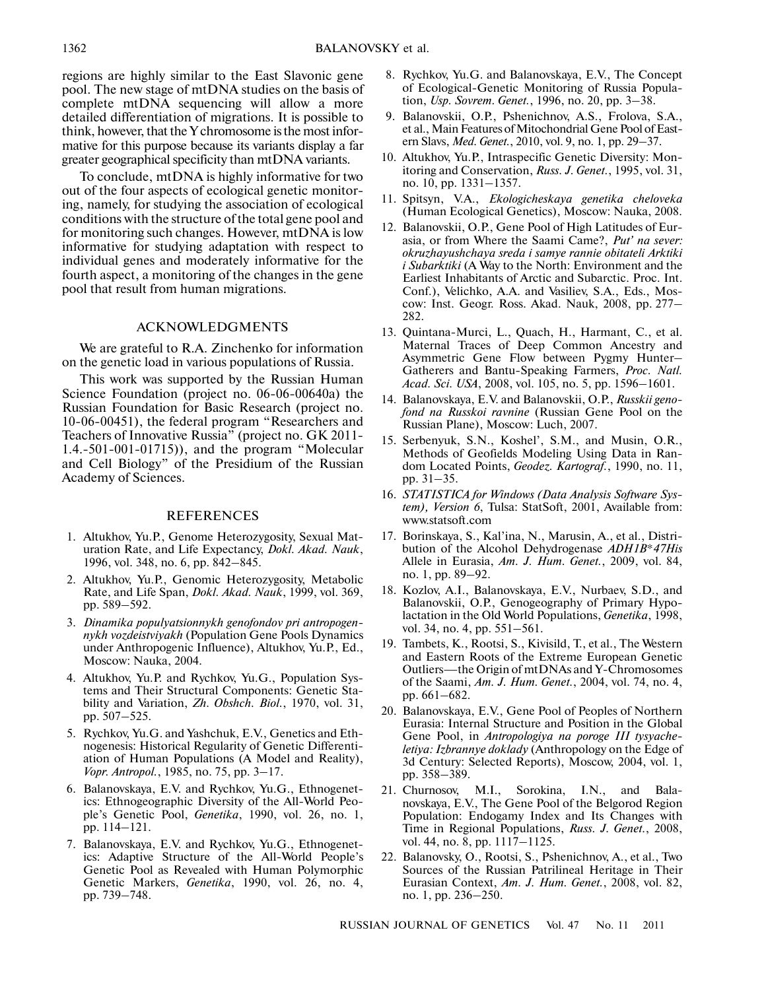regions are highly similar to the East Slavonic gene pool. The new stage of mtDNA studies on the basis of complete mtDNA sequencing will allow a more detailed differentiation of migrations. It is possible to think, however, that the Y chromosome is the most infor mative for this purpose because its variants display a far greater geographical specificity than mtDNA variants.

To conclude, mtDNA is highly informative for two out of the four aspects of ecological genetic monitor ing, namely, for studying the association of ecological conditions with the structure of the total gene pool and for monitoring such changes. However, mtDNA is low informative for studying adaptation with respect to individual genes and moderately informative for the fourth aspect, a monitoring of the changes in the gene pool that result from human migrations.

## ACKNOWLEDGMENTS

We are grateful to R.A. Zinchenko for information on the genetic load in various populations of Russia.

This work was supported by the Russian Human Science Foundation (project no. 06-06-00640a) the Russian Foundation for Basic Research (project no. 10-06-00451), the federal program "Researchers and Teachers of Innovative Russia" (project no. GK 2011- 1.4.-501-001-01715)), and the program "Molecular and Cell Biology" of the Presidium of the Russian Academy of Sciences.

# REFERENCES

- 1. Altukhov, Yu.P., Genome Heterozygosity, Sexual Mat uration Rate, and Life Expectancy, *Dokl. Akad. Nauk*, 1996, vol. 348, no. 6, pp. 842–845.
- 2. Altukhov, Yu.P., Genomic Heterozygosity, Metabolic Rate, and Life Span, *Dokl. Akad. Nauk*, 1999, vol. 369, pp. 589–592.
- 3. *Dinamika populyatsionnykh genofondov pri antropogen nykh vozdeistviyakh* (Population Gene Pools Dynamics under Anthropogenic Influence), Altukhov, Yu.P., Ed., Moscow: Nauka, 2004.
- 4. Altukhov, Yu.P. and Rychkov, Yu.G., Population Sys tems and Their Structural Components: Genetic Sta bility and Variation, *Zh. Obshch. Biol.*, 1970, vol. 31, pp. 507–525.
- 5. Rychkov, Yu.G. and Yashchuk, E.V., Genetics and Eth nogenesis: Historical Regularity of Genetic Differenti ation of Human Populations (A Model and Reality), *Vopr. Antropol.*, 1985, no. 75, pp. 3–17.
- 6. Balanovskaya, E.V. and Rychkov, Yu.G., Ethnogenet ics: Ethnogeographic Diversity of the All-World Peo ple's Genetic Pool, *Genetika*, 1990, vol. 26, no. 1, pp. 114–121.
- 7. Balanovskaya, E.V. and Rychkov, Yu.G., Ethnogenet ics: Adaptive Structure of the All-World People's Genetic Pool as Revealed with Human Polymorphic Genetic Markers, *Genetika*, 1990, vol. 26, no. 4, pp. 739–748.
- 8. Rychkov, Yu.G. and Balanovskaya, E.V., The Concept of Ecological-Genetic Monitoring of Russia Popula tion, *Usp. Sovrem. Genet.*, 1996, no. 20, pp. 3–38.
- 9. Balanovskii, O.P., Pshenichnov, A.S., Frolova, S.A., et al., Main Features of Mitochondrial Gene Pool of East ern Slavs, *Med. Genet.*, 2010, vol. 9, no. 1, pp. 29–37.
- 10. Altukhov, Yu.P., Intraspecific Genetic Diversity: Mon itoring and Conservation, *Russ. J. Genet.*, 1995, vol. 31, no. 10, pp. 1331–1357.
- 11. Spitsyn, V.A., *Ekologicheskaya genetika cheloveka* (Human Ecological Genetics), Moscow: Nauka, 2008.
- 12. Balanovskii, O.P., Gene Pool of High Latitudes of Eur asia, or from Where the Saami Came?, *Put' na sever: okruzhayushchaya sreda i samye rannie obitateli Arktiki i Subarktiki* (A Way to the North: Environment and the Earliest Inhabitants of Arctic and Subarctic. Proc. Int. Conf.), Velichko, A.A. and Vasiliev, S.A., Eds., Mos cow: Inst. Geogr. Ross. Akad. Nauk, 2008, pp. 277– 282.
- 13. Quintana-Murci, L., Quach, H., Harmant, C., et al. Maternal Traces of Deep Common Ancestry and Asymmetric Gene Flow between Pygmy Hunter– Gatherers and Bantu-Speaking Farmers, *Proc. Natl. Acad. Sci. USA*, 2008, vol. 105, no. 5, pp. 1596–1601.
- 14. Balanovskaya, E.V. and Balanovskii, O.P., *Russkii geno fond na Russkoi ravnine* (Russian Gene Pool on the Russian Plane), Moscow: Luch, 2007.
- 15. Serbenyuk, S.N., Koshel', S.M., and Musin, O.R., Methods of Geofields Modeling Using Data in Ran dom Located Points, *Geodez. Kartograf.*, 1990, no. 11, pp. 31–35.
- 16. *STATISTICA for Windows (Data Analysis Software Sys tem), Version 6*, Tulsa: StatSoft, 2001, Available from: www.statsoft.com
- 17. Borinskaya, S., Kal'ina, N., Marusin, A., et al., Distri bution of the Alcohol Dehydrogenase *ADH1B\*47His* Allele in Eurasia, *Am. J. Hum. Genet.*, 2009, vol. 84, no. 1, pp. 89–92.
- 18. Kozlov, A.I., Balanovskaya, E.V., Nurbaev, S.D., and Balanovskii, O.P., Genogeography of Primary Hypo lactation in the Old World Populations, *Genetika*, 1998, vol. 34, no. 4, pp. 551–561.
- 19. Tambets, K., Rootsi, S., Kivisild, T., et al., The Western and Eastern Roots of the Extreme European Genetic Outliers—the Origin of mtDNAs and Y-Chromosomes of the Saami, *Am. J. Hum. Genet.*, 2004, vol. 74, no. 4, pp. 661–682.
- 20. Balanovskaya, E.V., Gene Pool of Peoples of Northern Eurasia: Internal Structure and Position in the Global Gene Pool, in *Antropologiya na poroge III tysyache letiya: Izbrannye doklady* (Anthropology on the Edge of 3d Century: Selected Reports), Moscow, 2004, vol. 1, pp. 358–389.
- 21. Churnosov, M.I., Sorokina, I.N., and Bala novskaya, E.V., The Gene Pool of the Belgorod Region Population: Endogamy Index and Its Changes with Time in Regional Populations, *Russ. J. Genet.*, 2008, vol. 44, no. 8, pp. 1117–1125.
- 22. Balanovsky, O., Rootsi, S., Pshenichnov, A., et al., Two Sources of the Russian Patrilineal Heritage in Their Eurasian Context, *Am. J. Hum. Genet.*, 2008, vol. 82, no. 1, pp. 236–250.